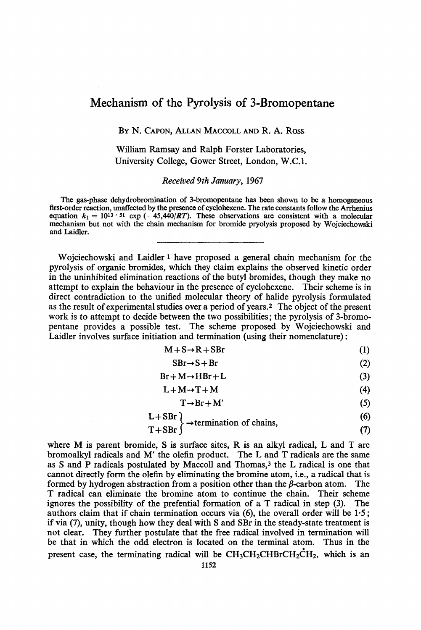# **Mechanism of the Pyrolysis of 3-Bromopentane**

BY N. **CAPON, ALLAN MACCOLL AND R. A. Ross** 

William Ramsay and Ralph Forster Laboratories, University College, Gower Street, London, W.C. **1.** 

*Received 9th January,* 1967

**The gas-phase dehydrobromination of 3-bromopentane has** been **shown to be a homogeneous first-order reaction, unaffected by the presence of cyclohexene. The rate constants follow the Arrhenius equation**  $k_1 = 10^{13} \cdot 51$  exp  $\left(-45,440/RT\right)$ . These observations are consistent with a molecular **mechanism but not with the chain mechanism for bromide pryolysis proposed by Wojciechowski and Laidler.** 

Wojciechowski and Laidler **1** have proposed a general chain mechanism for the pyrolysis of organic bromides, which they claim explains the observed kinetic order in the uninhibited elimination reactions **of** the butyl bromides, though they make no attempt to explain the behaviour in the presence of cyclohexene. Their scheme is in direct contradiction to the unified molecular theory of halide pyrolysis formulated as the result of experimental studies over a period of years? The object of the present work is to attempt to decide between the two possibilities; the pyrolysis of 3-bromopentane provides a possible test. The scheme proposed by Wojciechowski and Laidler involves surface initiation and termination (using their nomenclature) :

$$
M + S \rightarrow R + SBr
$$
 (1)

$$
SBr \to S + Br \tag{2}
$$

$$
Br + M \rightarrow HBr + L \tag{3}
$$

$$
L + M \rightarrow T + M \tag{4}
$$

$$
T \rightarrow Br + M' \tag{5}
$$

$$
L + SBr
$$
  
T + SBr $\rightarrow$  termination of chains, (6)

$$
T + SBr \tag{7}
$$

where **M** is parent bromide, **S** is surface sites, R **is** an alkyl radical, L and **T** are bromoalkyl radicals and **M'** the olefin product. The **L** and **T** radicals are the same as *S* and **P** radicals postulated by Maccoll and Thomas,3 the L radical is one that cannot directly form the olefin by eliminating the bromine atom, i.e., a radical that is formed by hydrogen abstraction from a position other than the  $\beta$ -carbon atom. The **T** radical can eliminate the bromine atom to continue the chain. Their scheme ignores the possibility of the prefential formation of a T radical in step **(3).** The authors claim that if chain termination occurs via *(6),* the overall order will be 1.5; if via **(7),** unity, though how they deal with **S** and SBr in the steady-state treatment is not clear. They further postulate that the free radical involved in termination will **be** that in which the odd electron is located on the terminal atom. Thus in the present case, the terminating radical will be  $CH_3CH_2CHBrCH_2CH_2$ , which is an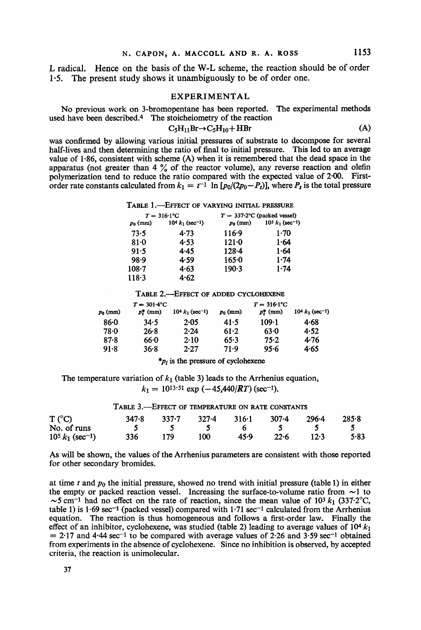L radical. Hence on the basis of the W-L scheme, the reaction should be of order **1-5.** The present study shows it unambiguously to be of order one.

#### EXPERIMENTAL

used have been described.<sup>4</sup> The stoicheiometry of the reaction No previous work on 3-bromopentane has been reported. The experimental methods

$$
C_5H_{11}Br \to C_5H_{10} + HBr \tag{A}
$$

**was** confirmed by allowing various initial pressures of substrate to decompose for several half-lives and then determining the ratio of final to initial pressure. This led to an average value of **1.86,** consistent with scheme (A) when it is remembered that the dead space in the apparatus (not greater than **4** % of the reactor volume), any reverse reaction and olefin polymerization tend to reduce the ratio compared with the expected value of **2.00.** Firstorder rate constants calculated from  $k_1 = t^{-1} \ln [p_0/(2p_0 - P_t)]$ , where  $P_t$  is the total pressure

TABLE **l.-EFFECT** OF VARYING **INITIAL PRESSURE** 

| $T = 316.1$ °C |                               | $T = 337.2$ °C (packed vessel) |                               |  |
|----------------|-------------------------------|--------------------------------|-------------------------------|--|
| $p_0$ (mm)     | $104 k1$ (sec <sup>-1</sup> ) | $p_0$ (mm)                     | $103 k1$ (sec <sup>-1</sup> ) |  |
| 73.5           | 4.73                          | $116-9$                        | 1.70                          |  |
| $81-0$         | 4.53                          | $121 - 0$                      | 1.64                          |  |
| 91.5           | 4.45                          | $128 - 4$                      | 1.64                          |  |
| 98.9           | 4.59                          | $165 - 0$                      | 1.74                          |  |
| $108 - 7$      | 4.63                          | 190.3                          | $1 - 74$                      |  |
| 118.3          | 4.62                          |                                |                               |  |

TABLE **EF EFFECT OF ADDED CYCLOHEXENE** 

| $T = 301.4$ °C |              |                               | $T = 316.1$ °C |                      |                               |
|----------------|--------------|-------------------------------|----------------|----------------------|-------------------------------|
| $p_0$ (mm)     | $p_i^*$ (mm) | $104 k1$ (sec <sup>-1</sup> ) | $p_0$ (mm)     | $p_i^{\bullet}$ (mm) | $104 k1$ (sec <sup>-1</sup> ) |
| 86.0           | 34.5         | 2.05                          | 41.5           | $109-1$              | 4.68                          |
| 78.0           | 26.8         | 2.24                          | 61.2           | 63.0                 | 4.52                          |
| 87.8           | 66.0         | 2.10                          | 65.3           | 75.2                 | 4.76                          |
| 91.8           | 36.8         | 2.27                          | 71.9           | 95.6                 | 4.65                          |

*\*pi* is the pressure of cyclohexene

The temperature variation of  $k_1$  (table 3) leads to the Arrhenius equation,  $k_1 = 10^{13.51}$  exp  $(-45,440/RT)$  (sec<sup>-1</sup>).

| TABLE 3.—EFFECT OF TEMPERATURE ON RATE CONSTANTS |       |       |           |       |       |       |       |
|--------------------------------------------------|-------|-------|-----------|-------|-------|-------|-------|
| T (°C)                                           | 347.8 | 337.7 | $327 - 4$ | 316.1 | 307-4 | 296-4 | 285.8 |
| No. of runs                                      |       |       |           |       |       |       |       |
| $10^5 k_1$ (sec <sup>-1</sup> )                  | 336   | 179   | 100       | 45.Q  | 22.6  | 12.3  | 5.83  |

As will be shown, the values of the Arrhenius parameters are consistent with those reported for other secondary bromides.

at time t and *po* the initial pressure, showed no trend with initial pressure (table **1)** in either the empty or packed reaction vessel. Increasing the surface-to-volume ratio from  $\sim$ 1 to  $\sim$ 5 cm<sup>-1</sup> had no effect on the rate of reaction, since the mean value of 10<sup>3</sup>  $k_1$  (337.2°C, table **1)** is **1.69** sec-1 (packed vessel) compared with **1-71** sec-1 calculated from the Arrhenius equation. The reaction is thus homogeneous and follows a first-order law. Finally the effect of an inhibitor, cyclohexene, was studied (table 2) leading to average values of  $10^4$   $k_1$  $= 2.17$  and  $4.44$  sec<sup>-1</sup> to be compared with average values of 2.26 and 3.59 sec<sup>-1</sup> obtained from experiments in the absence of cyclohexene. Since no inhibition is observed, by accepted criteria, the reaction is unimolecular.